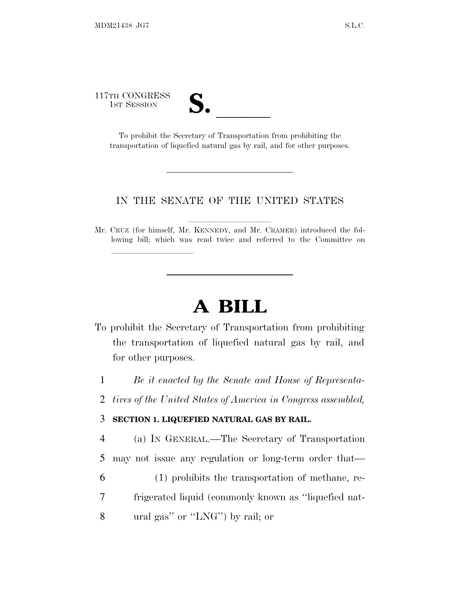117TH CONGRESS

lla se al consegue de la consegue de la consegue de la consegue de la consegue de la consegue de la consegue d<br>La consegue de la consegue de la consegue de la consegue de la consegue de la consegue de la consegue de la co

1ST SESSION **S. All To prohibit the Secretary of Transportation from prohibiting the** transportation of liquefied natural gas by rail, and for other purposes.

## IN THE SENATE OF THE UNITED STATES

Mr. CRUZ (for himself, Mr. KENNEDY, and Mr. CRAMER) introduced the following bill; which was read twice and referred to the Committee on

## **A BILL**

- To prohibit the Secretary of Transportation from prohibiting the transportation of liquefied natural gas by rail, and for other purposes.
	- 1 *Be it enacted by the Senate and House of Representa-*
- 2 *tives of the United States of America in Congress assembled,*

## 3 **SECTION 1. LIQUEFIED NATURAL GAS BY RAIL.**

4 (a) IN GENERAL.—The Secretary of Transportation 5 may not issue any regulation or long-term order that—

- 6 (1) prohibits the transportation of methane, re-
- 7 frigerated liquid (commonly known as ''liquefied nat-
- 8 ural gas'' or ''LNG'') by rail; or